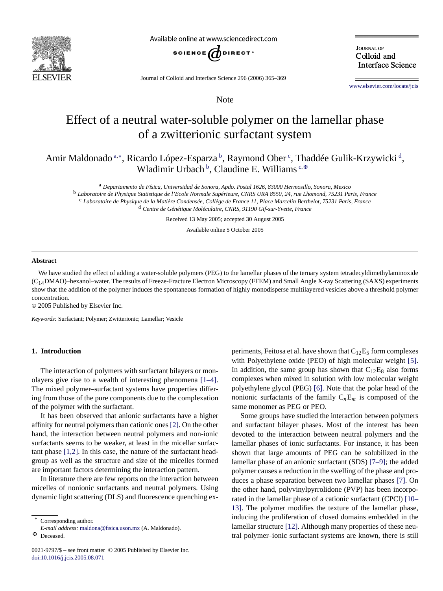

Available online at www.sciencedirect.com



**JOURNAL OF** Colloid and **Interface Science** 

Journal of Colloid and Interface Science 296 (2006) 365–369

Note

[www.elsevier.com/locate/jcis](http://www.elsevier.com/locate/jcis)

# Effect of a neutral water-soluble polymer on the lamellar phase of a zwitterionic surfactant system

Amir Maldonado <sup>a,∗</sup>, Ricardo López-Esparza <sup>b</sup>, Raymond Ober <sup>c</sup>, Thaddée Gulik-Krzywicki <sup>d</sup>, Wladimir Urbach<sup>b</sup>, Claudine E. Williams<sup>c, $\Phi$ </sup>

<sup>a</sup> *Departamento de Física, Universidad de Sonora, Apdo. Postal 1626, 83000 Hermosillo, Sonora, Mexico* <sup>b</sup> *Laboratoire de Physique Statistique de l'Ecole Normale Supérieure, CNRS URA 8550, 24, rue Lhomond, 75231 Paris, France* <sup>c</sup> *Laboratoire de Physique de la Matière Condensée, Collège de France 11, Place Marcelin Berthelot, 75231 Paris, France* <sup>d</sup> *Centre de Génétique Moléculaire, CNRS, 91190 Gif-sur-Yvette, France*

Received 13 May 2005; accepted 30 August 2005

Available online 5 October 2005

#### **Abstract**

We have studied the effect of adding a water-soluble polymers (PEG) to the lamellar phases of the ternary system tetradecyldimethylaminoxide (C14DMAO)–hexanol–water. The results of Freeze-Fracture Electron Microscopy (FFEM) and Small Angle X-ray Scattering (SAXS) experiments show that the addition of the polymer induces the spontaneous formation of highly monodisperse multilayered vesicles above a threshold polymer concentration.

© 2005 Published by Elsevier Inc.

*Keywords:* Surfactant; Polymer; Zwitterionic; Lamellar; Vesicle

## **1. Introduction**

The interaction of polymers with surfactant bilayers or monolayers give rise to a wealth of interesting phenomena [\[1–4\].](#page-4-0) The mixed polymer–surfactant systems have properties differing from those of the pure components due to the complexation of the polymer with the surfactant.

It has been observed that anionic surfactants have a higher affinity for neutral polymers than cationic ones [\[2\].](#page-4-0) On the other hand, the interaction between neutral polymers and non-ionic surfactants seems to be weaker, at least in the micellar surfactant phase [\[1,2\].](#page-4-0) In this case, the nature of the surfactant headgroup as well as the structure and size of the micelles formed are important factors determining the interaction pattern.

In literature there are few reports on the interaction between micelles of nonionic surfactants and neutral polymers. Using dynamic light scattering (DLS) and fluorescence quenching ex-

Corresponding author.

*E-mail address:* [maldona@fisica.uson.mx](mailto:maldona@fisica.uson.mx) (A. Maldonado).

 $\mathbf{F}$ Deceased. periments, Feitosa et al. have shown that  $C_{12}E_5$  form complexes with Polyethylene oxide (PEO) of high molecular weight [\[5\].](#page-4-0) In addition, the same group has shown that  $C_{12}E_8$  also forms complexes when mixed in solution with low molecular weight polyethylene glycol (PEG) [\[6\].](#page-4-0) Note that the polar head of the nonionic surfactants of the family  $C_nE_m$  is composed of the same monomer as PEG or PEO.

Some groups have studied the interaction between polymers and surfactant bilayer phases. Most of the interest has been devoted to the interaction between neutral polymers and the lamellar phases of ionic surfactants. For instance, it has been shown that large amounts of PEG can be solubilized in the lamellar phase of an anionic surfactant (SDS) [\[7–9\];](#page-4-0) the added polymer causes a reduction in the swelling of the phase and produces a phase separation between two lamellar phases [\[7\].](#page-4-0) On the other hand, polyvinylpyrrolidone (PVP) has been incorporated in the lamellar phase of a cationic surfactant (CPCl) [\[10–](#page-4-0) [13\].](#page-4-0) The polymer modifies the texture of the lamellar phase, inducing the proliferation of closed domains embedded in the lamellar structure [\[12\].](#page-4-0) Although many properties of these neutral polymer–ionic surfactant systems are known, there is still

<sup>0021-9797/\$ –</sup> see front matter © 2005 Published by Elsevier Inc. [doi:10.1016/j.jcis.2005.08.071](http://dx.doi.org/10.1016/j.jcis.2005.08.071)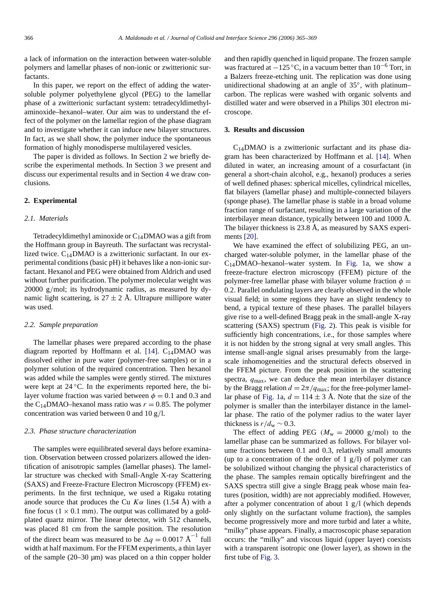a lack of information on the interaction between water-soluble polymers and lamellar phases of non-ionic or zwitterionic surfactants.

In this paper, we report on the effect of adding the watersoluble polymer polyethylene glycol (PEG) to the lamellar phase of a zwitterionic surfactant system: tetradecyldimethylaminoxide–hexanol–water. Our aim was to understand the effect of the polymer on the lamellar region of the phase diagram and to investigate whether it can induce new bilayer structures. In fact, as we shall show, the polymer induce the spontaneous formation of highly monodisperse multilayered vesicles.

The paper is divided as follows. In Section 2 we briefly describe the experimental methods. In Section 3 we present and discuss our experimental results and in Section [4](#page-3-0) we draw conclusions.

## **2. Experimental**

#### *2.1. Materials*

Tetradecyldimethyl aminoxide or  $C_{14}$ DMAO was a gift from the Hoffmann group in Bayreuth. The surfactant was recrystallized twice.  $C_{14}$ DMAO is a zwitterionic surfactant. In our experimental conditions (basic pH) it behaves like a non-ionic surfactant. Hexanol and PEG were obtained from Aldrich and used without further purification. The polymer molecular weight was 20000 g*/*mol; its hydrodynamic radius, as measured by dynamic light scattering, is  $27 \pm 2$  Å. Ultrapure millipore water was used.

#### *2.2. Sample preparation*

The lamellar phases were prepared according to the phase diagram reported by Hoffmann et al. [\[14\].](#page-4-0)  $C_{14}$ DMAO was dissolved either in pure water (polymer-free samples) or in a polymer solution of the required concentration. Then hexanol was added while the samples were gently stirred. The mixtures were kept at 24 °C. In the experiments reported here, the bilayer volume fraction was varied between  $\phi = 0.1$  and 0.3 and the C<sub>14</sub>DMAO–hexanol mass ratio was  $r = 0.85$ . The polymer concentration was varied between 0 and 10 g*/*l.

## *2.3. Phase structure characterization*

The samples were equilibrated several days before examination. Observation between crossed polarizers allowed the identification of anisotropic samples (lamellar phases). The lamellar structure was checked with Small-Angle X-ray Scattering (SAXS) and Freeze-Fracture Electron Microscopy (FFEM) experiments. In the first technique, we used a Rigaku rotating anode source that produces the Cu  $K\alpha$  lines (1.54 Å) with a fine focus  $(1 \times 0.1 \text{ mm})$ . The output was collimated by a goldplated quartz mirror. The linear detector, with 512 channels, was placed 81 cm from the sample position. The resolution of the direct beam was measured to be  $\Delta q = 0.0017 \text{ Å}^{-1}$  full width at half maximum. For the FFEM experiments, a thin layer of the sample (20–30 µm) was placed on a thin copper holder and then rapidly quenched in liquid propane. The frozen sample was fractured at  $-125$  °C, in a vacuum better than  $10^{-6}$  Torr, in a Balzers freeze-etching unit. The replication was done using unidirectional shadowing at an angle of 35◦, with platinum– carbon. The replicas were washed with organic solvents and distilled water and were observed in a Philips 301 electron microscope.

## **3. Results and discussion**

 $C_{14}$ DMAO is a zwitterionic surfactant and its phase diagram has been characterized by Hoffmann et al. [\[14\].](#page-4-0) When diluted in water, an increasing amount of a cosurfactant (in general a short-chain alcohol, e.g., hexanol) produces a series of well defined phases: spherical micelles, cylindrical micelles, flat bilayers (lamellar phase) and multiple-connected bilayers (sponge phase). The lamellar phase is stable in a broad volume fraction range of surfactant, resulting in a large variation of the interbilayer mean distance, typically between 100 and 1000 Å. The bilayer thickness is 23.8 Å, as measured by SAXS experiments [\[20\].](#page-4-0)

We have examined the effect of solubilizing PEG, an uncharged water-soluble polymer, in the lamellar phase of the  $C_{14}$ DMAO–hexanol–water system. In [Fig. 1a](#page-2-0), we show a freeze-fracture electron microscopy (FFEM) picture of the polymer-free lamellar phase with bilayer volume fraction  $\phi =$ 0*.*2. Parallel ondulating layers are clearly observed in the whole visual field; in some regions they have an slight tendency to bend, a typical texture of these phases. The parallel bilayers give rise to a well-defined Bragg peak in the small-angle X-ray scattering (SAXS) spectrum [\(Fig. 2\)](#page-2-0). This peak is visible for sufficiently high concentrations, i.e., for those samples where it is not hidden by the strong signal at very small angles. This intense small-angle signal arises presumably from the largescale inhomogeneities and the structural defects observed in the FFEM picture. From the peak position in the scattering spectra, *q*max, we can deduce the mean interbilayer distance by the Bragg relation  $d = 2\pi / q_{\text{max}}$ ; for the free-polymer lamel-lar phase of [Fig. 1a](#page-2-0),  $d = 114 \pm 3$  Å. Note that the size of the polymer is smaller than the interbilayer distance in the lamellar phase. The ratio of the polymer radius to the water layer thickness is  $r/d_w \sim 0.3$ .

The effect of adding PEG  $(M_w = 20000 \text{ g/mol})$  to the lamellar phase can be summarized as follows. For bilayer volume fractions between 0.1 and 0.3, relatively small amounts (up to a concentration of the order of 1 g*/*l) of polymer can be solubilized without changing the physical characteristics of the phase. The samples remain optically birefringent and the SAXS spectra still give a single Bragg peak whose main features (position, width) are not appreciably modified. However, after a polymer concentration of about 1 g*/*l (which depends only slightly on the surfactant volume fraction), the samples become progressively more and more turbid and later a white, "milky" phase appears. Finally, a macroscopic phase separation occurs: the "milky" and viscous liquid (upper layer) coexists with a transparent isotropic one (lower layer), as shown in the first tube of [Fig. 3.](#page-2-0)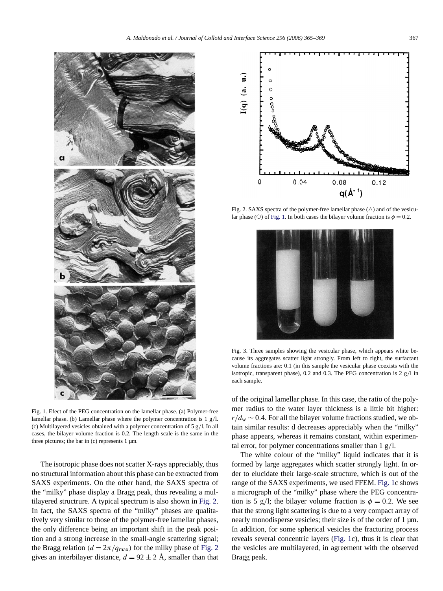<span id="page-2-0"></span>

Fig. 1. Efect of the PEG concentration on the lamellar phase. (a) Polymer-free lamellar phase. (b) Lamellar phase where the polymer concentration is 1 g*/*l. (c) Multilayered vesicles obtained with a polymer concentration of 5 g*/*l. In all cases, the bilayer volume fraction is 0.2. The length scale is the same in the three pictures; the bar in  $(c)$  represents 1  $\mu$ m.

The isotropic phase does not scatter X-rays appreciably, thus no structural information about this phase can be extracted from SAXS experiments. On the other hand, the SAXS spectra of the "milky" phase display a Bragg peak, thus revealing a multilayered structrure. A typical spectrum is also shown in Fig. 2. In fact, the SAXS spectra of the "milky" phases are qualitatively very similar to those of the polymer-free lamellar phases, the only difference being an important shift in the peak position and a strong increase in the small-angle scattering signal; the Bragg relation  $(d = 2\pi/q_{\text{max}})$  for the milky phase of Fig. 2 gives an interbilayer distance,  $d = 92 \pm 2$  Å, smaller than that



Fig. 2. SAXS spectra of the polymer-free lamellar phase  $(\triangle)$  and of the vesicular phase ( $\circ$ ) of Fig. 1. In both cases the bilayer volume fraction is  $\phi = 0.2$ .



Fig. 3. Three samples showing the vesicular phase, which appears white because its aggregates scatter light strongly. From left to right, the surfactant volume fractions are: 0.1 (in this sample the vesicular phase coexists with the isotropic, transparent phase), 0.2 and 0.3. The PEG concentration is 2 g*/*l in each sample.

of the original lamellar phase. In this case, the ratio of the polymer radius to the water layer thickness is a little bit higher:  $r/d_w \sim 0.4$ . For all the bilayer volume fractions studied, we obtain similar results: d decreases appreciably when the "milky" phase appears, whereas it remains constant, within experimental error, for polymer concentrations smaller than 1 g*/*l.

The white colour of the "milky" liquid indicates that it is formed by large aggregates which scatter strongly light. In order to elucidate their large-scale structure, which is out of the range of the SAXS experiments, we used FFEM. Fig. 1c shows a micrograph of the "milky" phase where the PEG concentration is 5 g/l; the bilayer volume fraction is  $\phi = 0.2$ . We see that the strong light scattering is due to a very compact array of nearly monodisperse vesicles; their size is of the order of 1  $\mu$ m. In addition, for some spherical vesicles the fracturing process reveals several concentric layers (Fig. 1c), thus it is clear that the vesicles are multilayered, in agreement with the observed Bragg peak.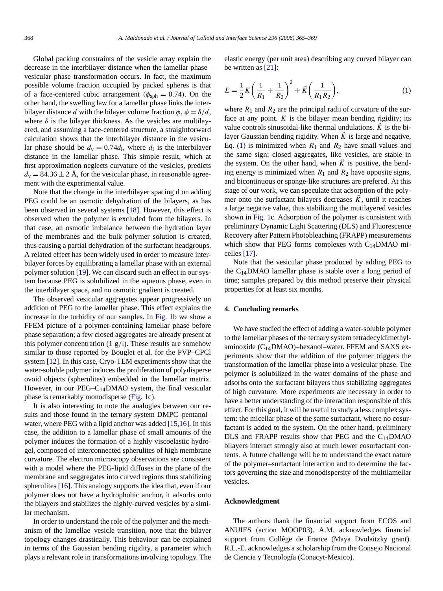<span id="page-3-0"></span>Global packing constraints of the vesicle array explain the decrease in the interbilayer distance when the lamellar phase– vesicular phase transformation occurs. In fact, the maximum possible volume fraction occupied by packed spheres is that of a face-centered cubic arrangement  $(\phi_{sph} = 0.74)$ . On the other hand, the swelling law for a lamellar phase links the interbilayer distance *d* with the bilayer volume fraction  $\phi$ ,  $\phi = \delta/d$ , where  $\delta$  is the bilayer thickness. As the vesicles are multilayered, and assuming a face-centered structure, a straightforward calculation shows that the interbilayer distance in the vesicular phase should be  $d<sub>v</sub> = 0.74d<sub>l</sub>$ , where  $d<sub>l</sub>$  is the interbilayer distance in the lamellar phase. This simple result, which at first approximation neglects curvature of the vesicles, predicts  $d_{v} = 84.36 \pm 2$  Å, for the vesicular phase, in reasonable agreement with the experimental value.

Note that the change in the interbilayer spacing d on adding PEG could be an osmotic dehydration of the bilayers, as has been observed in several systems [\[18\].](#page-4-0) However, this effect is observed when the polymer is excluded from the bilayers. In that case, an osmotic imbalance between the hydration layer of the membranes and the bulk polymer solution is created, thus causing a partial dehydration of the surfactant headgroups. A related effect has been widely used in order to measure interbilayer forces by equilibrating a lamellar phase with an external polymer solution [\[19\].](#page-4-0) We can discard such an effect in our system because PEG is solubilized in the aqueous phase, even in the interbilayer space, and no osmotic gradient is created.

The observed vesicular aggregates appear progressively on addition of PEG to the lamellar phase. This effect explains the increase in the turbidity of our samples. In [Fig. 1b](#page-2-0) we show a FFEM picture of a polymer-containing lamellar phase before phase separation; a few closed aggregates are already present at this polymer concentration (1 g*/*l). These results are somehow similar to those reported by Bouglet et al. for the PVP–CPCl system [\[12\].](#page-4-0) In this case, Cryo-TEM experiments show that the water-soluble polymer induces the proliferation of polydisperse ovoid objects (spherulites) embedded in the lamellar matrix. However, in our  $PEG-C_{14}DMAO$  system, the final vesicular phase is remarkably monodisperse [\(Fig. 1c](#page-2-0)).

It is also interesting to note the analogies between our results and those found in the ternary system DMPC–pentanol– water, where PEG with a lipid anchor was added [\[15,16\].](#page-4-0) In this case, the addition to a lamellar phase of small amounts of the polymer induces the formation of a highly viscoelastic hydrogel, composed of interconnected spherulites of high membrane curvature. The electron microscopy observations are consistent with a model where the PEG-lipid diffuses in the plane of the membrane and seggregates into curved regions thus stabilizing spherulites [\[16\].](#page-4-0) This analogy supports the idea that, even if our polymer does not have a hydrophobic anchor, it adsorbs onto the bilayers and stabilizes the highly-curved vesicles by a similar mechanism.

In order to understand the role of the polymer and the mechanism of the lamellae–vesicle transition, note that the bilayer topology changes drastically. This behaviour can be explained in terms of the Gaussian bending rigidity, a parameter which plays a relevant role in transformations involving topology. The

elastic energy (per unit area) describing any curved bilayer can be written as [\[21\]:](#page-4-0)

$$
E = \frac{1}{2}K\left(\frac{1}{R_1} + \frac{1}{R_2}\right)^2 + \tilde{K}\left(\frac{1}{R_1 R_2}\right),\tag{1}
$$

where  $R_1$  and  $R_2$  are the principal radii of curvature of the surface at any point.  $K$  is the bilayer mean bending rigidity; its value controls sinusoidal-like thermal undulations.  $\tilde{K}$  is the bilayer Gaussian bending rigidity. When  $\tilde{K}$  is large and negative, Eq. (1) is minimized when  $R_1$  and  $R_2$  have small values and the same sign; closed aggregates, like vesicles, are stable in the system. On the other hand, when  $\tilde{K}$  is positive, the bending energy is minimized when  $R_1$  and  $R_2$  have opposite signs, and bicontinuous or sponge-like structures are prefered. At this stage of our work, we can speculate that adsorption of the polymer onto the surfactant bilayers decreases  $\tilde{K}$ , until it reaches a large negative value, thus stabilizing the mutilayered vesicles shown in [Fig. 1c](#page-2-0). Adsorption of the polymer is consistent with preliminary Dynamic Light Scattering (DLS) and Fluorescence Recovery after Pattern Photobleaching (FRAPP) measurements which show that PEG forms complexes with  $C_{14}$ DMAO micelles [\[17\].](#page-4-0)

Note that the vesicular phase produced by adding PEG to the  $C_{14}$ DMAO lamellar phase is stable over a long period of time; samples prepared by this method preserve their physical properties for at least six months.

#### **4. Concluding remarks**

We have studied the effect of adding a water-soluble polymer to the lamellar phases of the ternary system tetradecyldimethylaminoxide (C14DMAO)–hexanol–water. FFEM and SAXS experiments show that the addition of the polymer triggers the transformation of the lamellar phase into a vesicular phase. The polymer is solubilized in the water domains of the phase and adsorbs onto the surfactant bilayers thus stabilizing aggregates of high curvature. More experiments are necessary in order to have a better understanding of the interaction responsible of this effect. For this goal, it will be useful to study a less complex system: the micellar phase of the same surfactant, where no cosurfactant is added to the system. On the other hand, preliminary DLS and FRAPP results show that PEG and the  $C_{14}$ DMAO bilayers interact strongly also at much lower cosurfactant contents. A future challenge will be to understand the exact nature of the polymer–surfactant interaction and to determine the factors governing the size and monodispersity of the multilamellar vesicles.

#### **Acknowledgment**

The authors thank the financial support from ECOS and ANUIES (action MOOP03). A.M. acknowledges financial support from Collège de France (Maya Dvolaitzky grant). R.L.-E. acknowledges a scholarship from the Consejo Nacional de Ciencia y Tecnología (Conacyt-Mexico).